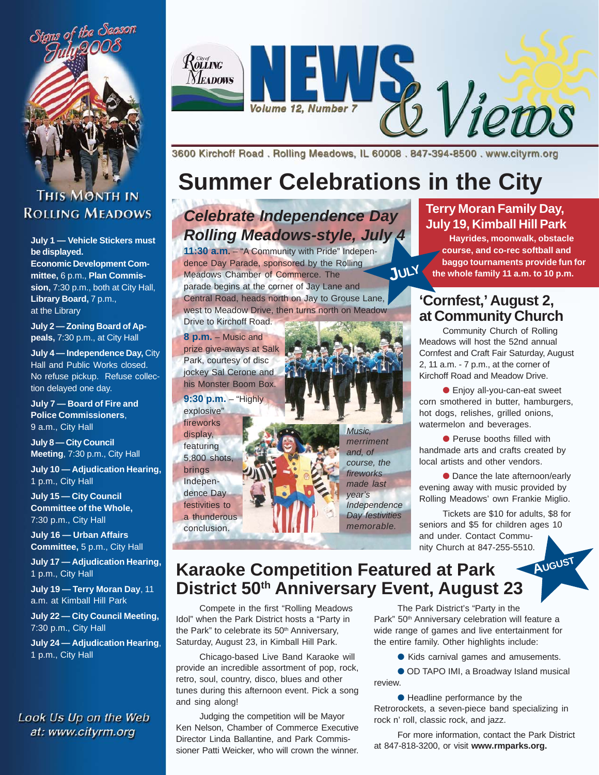

### **THIS MONTH IN ROLLING MEADOWS**

**July 1 — Vehicle Stickers must be displayed.**

**Economic Development Committee,** 6 p.m., **Plan Commission,** 7:30 p.m., both at City Hall, **Library Board,** 7 p.m., at the Library

**July 2 — Zoning Board of Appeals,** 7:30 p.m., at City Hall

**July 4 — Independence Day,** City Hall and Public Works closed. No refuse pickup. Refuse collection delayed one day.

**July 7 — Board of Fire and Police Commissioners**, 9 a.m., City Hall

**July 8 — City Council Meeting**, 7:30 p.m., City Hall

**July 10 — Adjudication Hearing,** 1 p.m., City Hall

**July 15 — City Council Committee of the Whole,** 7:30 p.m., City Hall

**July 16 — Urban Affairs Committee,** 5 p.m., City Hall

**July 17 — Adjudication Hearing,** 1 p.m., City Hall

**July 19 — Terry Moran Day**, 11 a.m. at Kimball Hill Park

**July 22 — City Council Meeting,** 7:30 p.m., City Hall

**July 24 — Adjudication Hearing**, 1 p.m., City Hall

Look Us Up on the Web at: www.cityrm.org



3600 Kirchoff Road, Rolling Meadows, IL 60008, 847-394-8500, www.cityrm.org

# **Summer Celebrations in the City**

## *Celebrate Independence Day Rolling Meadows-style, July 4*

**11:30 a.m.** – "A Community with Pride" Independence Day Parade, sponsored by the Rolling Meadows Chamber of Commerce. The parade begins at the corner of Jay Lane and Central Road, heads north on Jay to Grouse Lane,

west to Meadow Drive, then turns north on Meadow Drive to Kirchoff Road.

**8 p.m.** – Music and prize give-aways at Salk Park, courtesy of disc jockey Sal Cerone and his Monster Boom Box.

**9:30 p.m.** – "Highly explosive"

fireworks display, featuring 5,800 shots,

brings Independence Day festivities to

a thunderous conclusion.

*Music, merriment and, of course, the fireworks made last year's Independence Day festivities memorable.*

### **Terry Moran Family Day, July 19, Kimball Hill Park**

**Hayrides, moonwalk, obstacle course, and co-rec softball and baggo tournaments provide fun for JULY the whole family 11 a.m. to 10 p.m.**

### **'Cornfest,' August 2, at Community Church**

Community Church of Rolling Meadows will host the 52nd annual Cornfest and Craft Fair Saturday, August 2, 11 a.m. - 7 p.m., at the corner of Kirchoff Road and Meadow Drive.

● Enjoy all-you-can-eat sweet corn smothered in butter, hamburgers, hot dogs, relishes, grilled onions, watermelon and beverages.

● Peruse booths filled with handmade arts and crafts created by local artists and other vendors.

● Dance the late afternoon/early evening away with music provided by Rolling Meadows' own Frankie Miglio.

Tickets are \$10 for adults, \$8 for seniors and \$5 for children ages 10 and under. Contact Community Church at 847-255-5510. **AUGUST**

## **Karaoke Competition Featured at Park District 50th Anniversary Event, August 23**

Compete in the first "Rolling Meadows Idol" when the Park District hosts a "Party in the Park" to celebrate its 50<sup>th</sup> Anniversary, Saturday, August 23, in Kimball Hill Park.

Chicago-based Live Band Karaoke will provide an incredible assortment of pop, rock, retro, soul, country, disco, blues and other tunes during this afternoon event. Pick a song and sing along!

Judging the competition will be Mayor Ken Nelson, Chamber of Commerce Executive Director Linda Ballantine, and Park Commissioner Patti Weicker, who will crown the winner.

The Park District's "Party in the Park" 50<sup>th</sup> Anniversary celebration will feature a wide range of games and live entertainment for the entire family. Other highlights include:

● Kids carnival games and amusements.

● OD TAPO IMI, a Broadway Island musical review.

● Headline performance by the Retrorockets, a seven-piece band specializing in rock n' roll, classic rock, and jazz.

For more information, contact the Park District at 847-818-3200, or visit **www.rmparks.org.**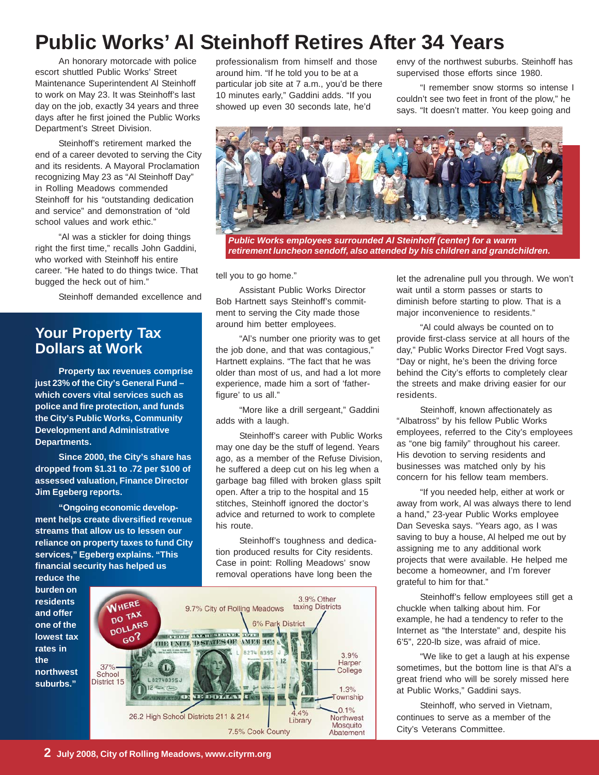## **Public Works' Al Steinhoff Retires After 34 Years**

An honorary motorcade with police escort shuttled Public Works' Street Maintenance Superintendent Al Steinhoff to work on May 23. It was Steinhoff's last day on the job, exactly 34 years and three days after he first joined the Public Works Department's Street Division.

Steinhoff's retirement marked the end of a career devoted to serving the City and its residents. A Mayoral Proclamation recognizing May 23 as "Al Steinhoff Day" in Rolling Meadows commended Steinhoff for his "outstanding dedication and service" and demonstration of "old school values and work ethic."

"Al was a stickler for doing things right the first time," recalls John Gaddini, who worked with Steinhoff his entire career. "He hated to do things twice. That bugged the heck out of him."

Steinhoff demanded excellence and

### **Your Property Tax Dollars at Work**

**Property tax revenues comprise just 23% of the City's General Fund – which covers vital services such as police and fire protection, and funds the City's Public Works, Community Development and Administrative Departments.**

**Since 2000, the City's share has dropped from \$1.31 to .72 per \$100 of assessed valuation, Finance Director Jim Egeberg reports.**

**"Ongoing economic development helps create diversified revenue streams that allow us to lessen our reliance on property taxes to fund City services," Egeberg explains. "This financial security has helped us**

**reduce the burden on residents and offer one of the lowest tax rates in the northwest suburbs."**

3.9% Other WHERE 9.7% City of Rolling Meadows taxing Districts DO TAX DO LARS 6% Park District **The man example of the more of the company**  $60?$ THE UNITE D STATES OF AMERICA 8274 8395 J  $3.9%$  $\overline{2}$ Harper<br>College 37% School District 15  $1.3%$ **VE DOMAN CON**  $\sqrt{D}$ Township  $0.1%$ 4% 26.2 High School Districts 211 & 214 Northwest Library Mosquito 7.5% Cook County Abatement

professionalism from himself and those around him. "If he told you to be at a particular job site at 7 a.m., you'd be there 10 minutes early," Gaddini adds. "If you showed up even 30 seconds late, he'd

envy of the northwest suburbs. Steinhoff has supervised those efforts since 1980.

"I remember snow storms so intense I couldn't see two feet in front of the plow," he says. "It doesn't matter. You keep going and



*Public Works employees surrounded Al Steinhoff (center) for a warm retirement luncheon sendoff, also attended by his children and grandchildren.*

tell you to go home."

Assistant Public Works Director Bob Hartnett says Steinhoff's commitment to serving the City made those around him better employees.

"Al's number one priority was to get the job done, and that was contagious," Hartnett explains. "The fact that he was older than most of us, and had a lot more experience, made him a sort of 'fatherfigure' to us all."

"More like a drill sergeant," Gaddini adds with a laugh.

Steinhoff's career with Public Works may one day be the stuff of legend. Years ago, as a member of the Refuse Division, he suffered a deep cut on his leg when a garbage bag filled with broken glass spilt open. After a trip to the hospital and 15 stitches, Steinhoff ignored the doctor's advice and returned to work to complete his route.

Steinhoff's toughness and dedication produced results for City residents. Case in point: Rolling Meadows' snow removal operations have long been the

let the adrenaline pull you through. We won't wait until a storm passes or starts to diminish before starting to plow. That is a major inconvenience to residents."

"Al could always be counted on to provide first-class service at all hours of the day," Public Works Director Fred Vogt says. "Day or night, he's been the driving force behind the City's efforts to completely clear the streets and make driving easier for our residents.

Steinhoff, known affectionately as "Albatross" by his fellow Public Works employees, referred to the City's employees as "one big family" throughout his career. His devotion to serving residents and businesses was matched only by his concern for his fellow team members.

"If you needed help, either at work or away from work, Al was always there to lend a hand," 23-year Public Works employee Dan Seveska says. "Years ago, as I was saving to buy a house, Al helped me out by assigning me to any additional work projects that were available. He helped me become a homeowner, and I'm forever grateful to him for that."

Steinhoff's fellow employees still get a chuckle when talking about him. For example, he had a tendency to refer to the Internet as "the Interstate" and, despite his 6'5", 220-lb size, was afraid of mice.

"We like to get a laugh at his expense sometimes, but the bottom line is that Al's a great friend who will be sorely missed here at Public Works," Gaddini says.

Steinhoff, who served in Vietnam, continues to serve as a member of the City's Veterans Committee.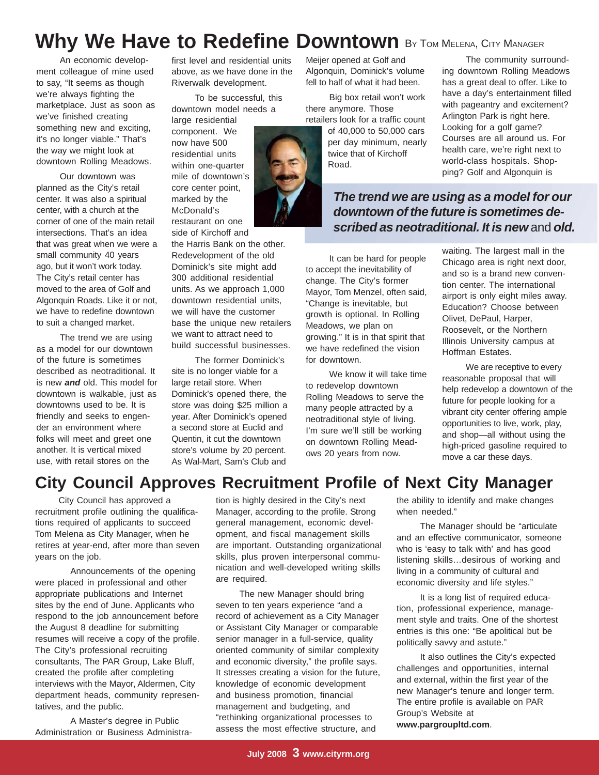## Why We Have to Redefine Downtown By TOM MELENA, CITY MANAGER

An economic development colleague of mine used to say, "It seems as though we're always fighting the marketplace. Just as soon as we've finished creating something new and exciting, it's no longer viable." That's the way we might look at downtown Rolling Meadows.

Our downtown was planned as the City's retail center. It was also a spiritual center, with a church at the corner of one of the main retail intersections. That's an idea that was great when we were a small community 40 years ago, but it won't work today. The City's retail center has moved to the area of Golf and Algonquin Roads. Like it or not, we have to redefine downtown to suit a changed market.

The trend we are using as a model for our downtown of the future is sometimes described as neotraditional. It is new *and* old. This model for downtown is walkable, just as downtowns used to be. It is friendly and seeks to engender an environment where folks will meet and greet one another. It is vertical mixed use, with retail stores on the

first level and residential units above, as we have done in the Riverwalk development.

To be successful, this downtown model needs a large residential

component. We now have 500 residential units within one-quarter mile of downtown's core center point, marked by the McDonald's restaurant on one

side of Kirchoff and the Harris Bank on the other. Redevelopment of the old Dominick's site might add 300 additional residential units. As we approach 1,000 downtown residential units, we will have the customer base the unique new retailers we want to attract need to build successful businesses.

The former Dominick's site is no longer viable for a large retail store. When Dominick's opened there, the store was doing \$25 million a year. After Dominick's opened a second store at Euclid and Quentin, it cut the downtown store's volume by 20 percent. As Wal-Mart, Sam's Club and

Meijer opened at Golf and Algonquin, Dominick's volume fell to half of what it had been.

Big box retail won't work there anymore. Those retailers look for a traffic count of 40,000 to 50,000 cars per day minimum, nearly twice that of Kirchoff Road.

The community surrounding downtown Rolling Meadows has a great deal to offer. Like to have a day's entertainment filled with pageantry and excitement? Arlington Park is right here. Looking for a golf game? Courses are all around us. For health care, we're right next to world-class hospitals. Shopping? Golf and Algonquin is

*The trend we are using as a model for our downtown of the future is sometimes described as neotraditional. It is new* and *old.*

It can be hard for people to accept the inevitability of change. The City's former Mayor, Tom Menzel, often said, "Change is inevitable, but growth is optional. In Rolling Meadows, we plan on growing." It is in that spirit that we have redefined the vision for downtown.

We know it will take time to redevelop downtown Rolling Meadows to serve the many people attracted by a neotraditional style of living. I'm sure we'll still be working on downtown Rolling Meadows 20 years from now.

waiting. The largest mall in the Chicago area is right next door, and so is a brand new convention center. The international airport is only eight miles away. Education? Choose between Olivet, DePaul, Harper, Roosevelt, or the Northern Illinois University campus at Hoffman Estates.

We are receptive to every reasonable proposal that will help redevelop a downtown of the future for people looking for a vibrant city center offering ample opportunities to live, work, play, and shop—all without using the high-priced gasoline required to move a car these days.

### **City Council Approves Recruitment Profile of Next City Manager**

City Council has approved a recruitment profile outlining the qualifications required of applicants to succeed Tom Melena as City Manager, when he retires at year-end, after more than seven years on the job.

Announcements of the opening were placed in professional and other appropriate publications and Internet sites by the end of June. Applicants who respond to the job announcement before the August 8 deadline for submitting resumes will receive a copy of the profile. The City's professional recruiting consultants, The PAR Group, Lake Bluff, created the profile after completing interviews with the Mayor, Aldermen, City department heads, community representatives, and the public.

A Master's degree in Public Administration or Business Administration is highly desired in the City's next Manager, according to the profile. Strong general management, economic development, and fiscal management skills are important. Outstanding organizational skills, plus proven interpersonal communication and well-developed writing skills are required.

The new Manager should bring seven to ten years experience "and a record of achievement as a City Manager or Assistant City Manager or comparable senior manager in a full-service, quality oriented community of similar complexity and economic diversity," the profile says. It stresses creating a vision for the future, knowledge of economic development and business promotion, financial management and budgeting, and "rethinking organizational processes to assess the most effective structure, and

the ability to identify and make changes when needed."

The Manager should be "articulate and an effective communicator, someone who is 'easy to talk with' and has good listening skills…desirous of working and living in a community of cultural and economic diversity and life styles."

It is a long list of required education, professional experience, management style and traits. One of the shortest entries is this one: "Be apolitical but be politically savvy and astute."

It also outlines the City's expected challenges and opportunities, internal and external, within the first year of the new Manager's tenure and longer term. The entire profile is available on PAR Group's Website at **www.pargroupltd.com**.

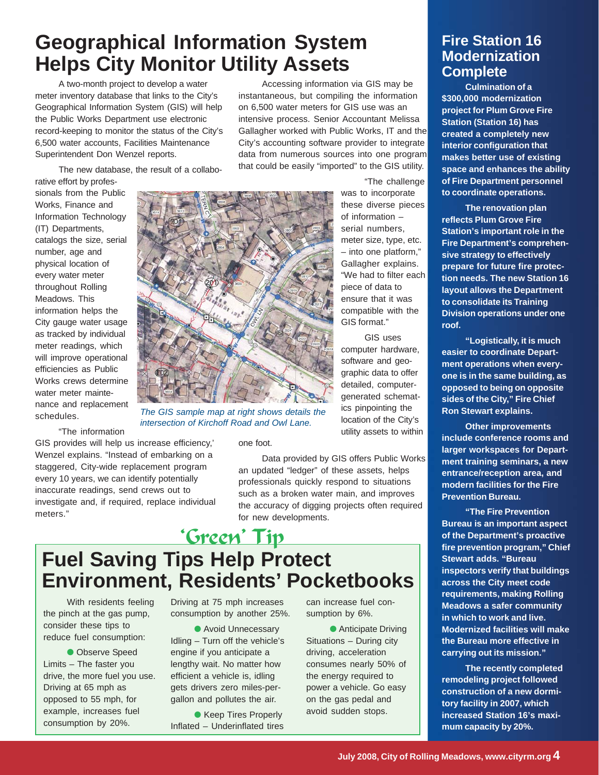## **Geographical Information System Helps City Monitor Utility Assets**

A two-month project to develop a water meter inventory database that links to the City's Geographical Information System (GIS) will help the Public Works Department use electronic record-keeping to monitor the status of the City's 6,500 water accounts, Facilities Maintenance Superintendent Don Wenzel reports.

The new database, the result of a collabo-

rative effort by professionals from the Public Works, Finance and Information Technology (IT) Departments, catalogs the size, serial number, age and physical location of every water meter throughout Rolling Meadows. This information helps the City gauge water usage as tracked by individual meter readings, which will improve operational efficiencies as Public Works crews determine water meter maintenance and replacement schedules.

"The information

GIS provides will help us increase efficiency,' Wenzel explains. "Instead of embarking on a staggered, City-wide replacement program every 10 years, we can identify potentially inaccurate readings, send crews out to investigate and, if required, replace individual meters."

Accessing information via GIS may be instantaneous, but compiling the information on 6,500 water meters for GIS use was an intensive process. Senior Accountant Melissa Gallagher worked with Public Works, IT and the City's accounting software provider to integrate data from numerous sources into one program that could be easily "imported" to the GIS utility.



*The GIS sample map at right shows details the intersection of Kirchoff Road and Owl Lane.*

#### one foot.

Data provided by GIS offers Public Works an updated "ledger" of these assets, helps professionals quickly respond to situations such as a broken water main, and improves the accuracy of digging projects often required for new developments.

## 'Green' Tip **Fuel Saving Tips Help Protect Environment, Residents' Pocketbooks**

With residents feeling the pinch at the gas pump, consider these tips to reduce fuel consumption:

● Observe Speed Limits – The faster you drive, the more fuel you use. Driving at 65 mph as opposed to 55 mph, for example, increases fuel consumption by 20%.

Driving at 75 mph increases consumption by another 25%.

● Avoid Unnecessary Idling – Turn off the vehicle's engine if you anticipate a lengthy wait. No matter how efficient a vehicle is, idling gets drivers zero miles-pergallon and pollutes the air.

● Keep Tires Properly Inflated – Underinflated tires can increase fuel consumption by 6%.

● Anticipate Driving Situations – During city driving, acceleration consumes nearly 50% of the energy required to power a vehicle. Go easy on the gas pedal and avoid sudden stops.

### **Fire Station 16 Modernization Complete**

**Culmination of a \$300,000 modernization project for Plum Grove Fire Station (Station 16) has created a completely new interior configuration that makes better use of existing space and enhances the ability of Fire Department personnel to coordinate operations.**

**The renovation plan reflects Plum Grove Fire Station's important role in the Fire Department's comprehensive strategy to effectively prepare for future fire protection needs. The new Station 16 layout allows the Department to consolidate its Training Division operations under one roof.**

**"Logistically, it is much easier to coordinate Department operations when everyone is in the same building, as opposed to being on opposite sides of the City," Fire Chief Ron Stewart explains.**

**Other improvements include conference rooms and larger workspaces for Department training seminars, a new entrance/reception area, and modern facilities for the Fire Prevention Bureau.**

**"The Fire Prevention Bureau is an important aspect of the Department's proactive fire prevention program," Chief Stewart adds. "Bureau inspectors verify that buildings across the City meet code requirements, making Rolling Meadows a safer community in which to work and live. Modernized facilities will make the Bureau more effective in carrying out its mission."**

**The recently completed remodeling project followed construction of a new dormitory facility in 2007, which increased Station 16's maximum capacity by 20%.**

Gallagher explains. "We had to filter each piece of data to ensure that it was compatible with the GIS format."

> GIS uses computer hardware, software and geographic data to offer detailed, computergenerated schematics pinpointing the location of the City's utility assets to within

"The challenge

was to incorporate these diverse pieces of information – serial numbers, meter size, type, etc. – into one platform,"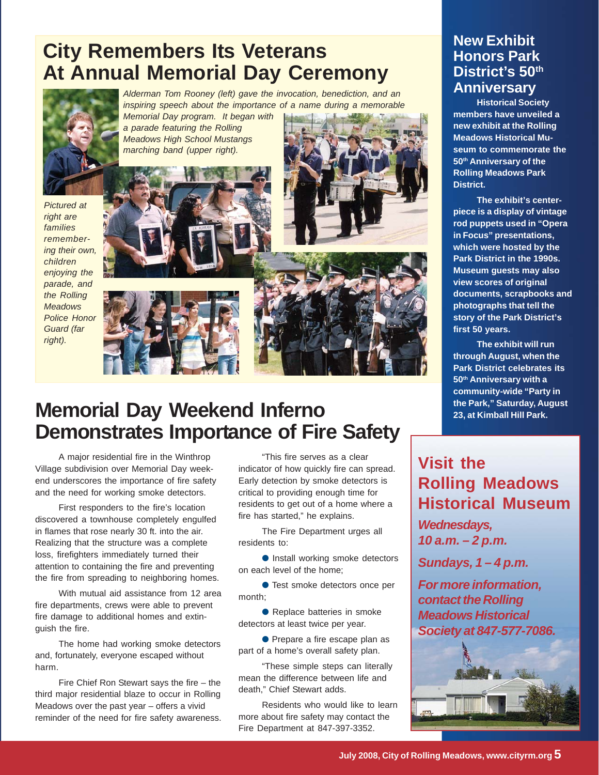## **City Remembers Its Veterans At Annual Memorial Day Ceremony**



*Alderman Tom Rooney (left) gave the invocation, benediction, and an inspiring speech about the importance of a name during a memorable Memorial Day program. It began with*

*a parade featuring the Rolling Meadows High School Mustangs marching band (upper right).*

*Pictured at right are families remembering their own, children enjoying the parade, and the Rolling Meadows Police Honor Guard (far right).*







## **Memorial Day Weekend Inferno Demonstrates Importance of Fire Safety**

A major residential fire in the Winthrop Village subdivision over Memorial Day weekend underscores the importance of fire safety and the need for working smoke detectors.

First responders to the fire's location discovered a townhouse completely engulfed in flames that rose nearly 30 ft. into the air. Realizing that the structure was a complete loss, firefighters immediately turned their attention to containing the fire and preventing the fire from spreading to neighboring homes.

With mutual aid assistance from 12 area fire departments, crews were able to prevent fire damage to additional homes and extinguish the fire.

The home had working smoke detectors and, fortunately, everyone escaped without harm.

Fire Chief Ron Stewart says the fire – the third major residential blaze to occur in Rolling Meadows over the past year – offers a vivid reminder of the need for fire safety awareness.

"This fire serves as a clear indicator of how quickly fire can spread. Early detection by smoke detectors is critical to providing enough time for residents to get out of a home where a fire has started," he explains.

The Fire Department urges all residents to:

● Install working smoke detectors on each level of the home;

● Test smoke detectors once per month;

● Replace batteries in smoke detectors at least twice per year.

● Prepare a fire escape plan as part of a home's overall safety plan.

"These simple steps can literally mean the difference between life and death," Chief Stewart adds.

Residents who would like to learn more about fire safety may contact the Fire Department at 847-397-3352.

### **New Exhibit Honors Park District's 50th Anniversary**

**Historical Society members have unveiled a new exhibit at the Rolling Meadows Historical Museum to commemorate the 50th Anniversary of the Rolling Meadows Park District.**

**The exhibit's centerpiece is a display of vintage rod puppets used in "Opera in Focus" presentations, which were hosted by the Park District in the 1990s. Museum guests may also view scores of original documents, scrapbooks and photographs that tell the story of the Park District's first 50 years.**

**The exhibit will run through August, when the Park District celebrates its 50th Anniversary with a community-wide "Party in the Park," Saturday, August 23, at Kimball Hill Park.**

### **Visit the Rolling Meadows Historical Museum**

*Wednesdays, 10 a.m. – 2 p.m.*

*Sundays, 1 – 4 p.m.*

*For more information, contact the Rolling Meadows Historical Society at 847-577-7086.*